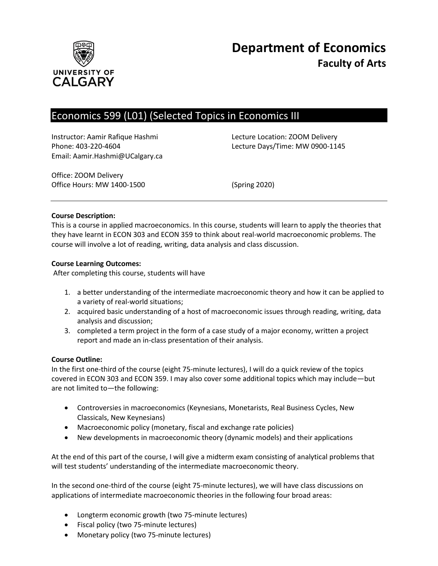

# Economics 599 (L01) (Selected Topics in Economics III

Instructor: Aamir Rafique Hashmi Lecture Location: ZOOM Delivery Email: Aamir.Hashmi@UCalgary.ca

Phone: 403-220-4604 Lecture Days/Time: MW 0900-1145

Office: ZOOM Delivery Office Hours: MW 1400-1500 (Spring 2020)

### **Course Description:**

This is a course in applied macroeconomics. In this course, students will learn to apply the theories that they have learnt in ECON 303 and ECON 359 to think about real-world macroeconomic problems. The course will involve a lot of reading, writing, data analysis and class discussion.

### **Course Learning Outcomes:**

After completing this course, students will have

- 1. a better understanding of the intermediate macroeconomic theory and how it can be applied to a variety of real-world situations;
- 2. acquired basic understanding of a host of macroeconomic issues through reading, writing, data analysis and discussion;
- 3. completed a term project in the form of a case study of a major economy, written a project report and made an in-class presentation of their analysis.

#### **Course Outline:**

In the first one-third of the course (eight 75-minute lectures), I will do a quick review of the topics covered in ECON 303 and ECON 359. I may also cover some additional topics which may include—but are not limited to—the following:

- Controversies in macroeconomics (Keynesians, Monetarists, Real Business Cycles, New Classicals, New Keynesians)
- Macroeconomic policy (monetary, fiscal and exchange rate policies)
- New developments in macroeconomic theory (dynamic models) and their applications

At the end of this part of the course, I will give a midterm exam consisting of analytical problems that will test students' understanding of the intermediate macroeconomic theory.

In the second one-third of the course (eight 75-minute lectures), we will have class discussions on applications of intermediate macroeconomic theories in the following four broad areas:

- Longterm economic growth (two 75-minute lectures)
- Fiscal policy (two 75-minute lectures)
- Monetary policy (two 75-minute lectures)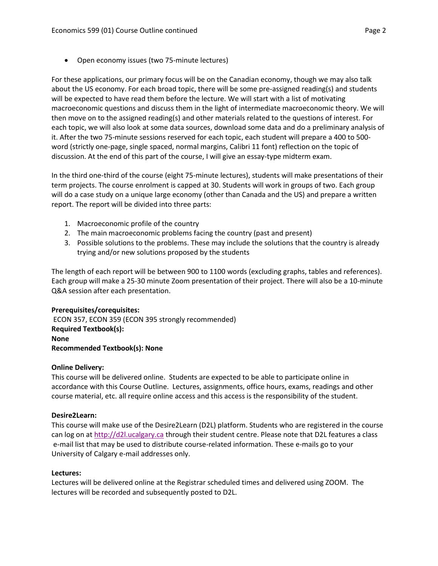• Open economy issues (two 75-minute lectures)

For these applications, our primary focus will be on the Canadian economy, though we may also talk about the US economy. For each broad topic, there will be some pre-assigned reading(s) and students will be expected to have read them before the lecture. We will start with a list of motivating macroeconomic questions and discuss them in the light of intermediate macroeconomic theory. We will then move on to the assigned reading(s) and other materials related to the questions of interest. For each topic, we will also look at some data sources, download some data and do a preliminary analysis of it. After the two 75-minute sessions reserved for each topic, each student will prepare a 400 to 500 word (strictly one-page, single spaced, normal margins, Calibri 11 font) reflection on the topic of discussion. At the end of this part of the course, I will give an essay-type midterm exam.

In the third one-third of the course (eight 75-minute lectures), students will make presentations of their term projects. The course enrolment is capped at 30. Students will work in groups of two. Each group will do a case study on a unique large economy (other than Canada and the US) and prepare a written report. The report will be divided into three parts:

- 1. Macroeconomic profile of the country
- 2. The main macroeconomic problems facing the country (past and present)
- 3. Possible solutions to the problems. These may include the solutions that the country is already trying and/or new solutions proposed by the students

The length of each report will be between 900 to 1100 words (excluding graphs, tables and references). Each group will make a 25-30 minute Zoom presentation of their project. There will also be a 10-minute Q&A session after each presentation.

## **Prerequisites/corequisites:**

ECON 357, ECON 359 (ECON 395 strongly recommended) **Required Textbook(s): None Recommended Textbook(s): None**

#### **Online Delivery:**

This course will be delivered online. Students are expected to be able to participate online in accordance with this Course Outline. Lectures, assignments, office hours, exams, readings and other course material, etc. all require online access and this access is the responsibility of the student.

#### **Desire2Learn:**

This course will make use of the Desire2Learn (D2L) platform. Students who are registered in the course can log on a[t http://d2l.ucalgary.ca](http://d2l.ucalgary.ca/) through their student centre. Please note that D2L features a class e-mail list that may be used to distribute course-related information. These e-mails go to your University of Calgary e-mail addresses only.

#### **Lectures:**

Lectures will be delivered online at the Registrar scheduled times and delivered using ZOOM. The lectures will be recorded and subsequently posted to D2L.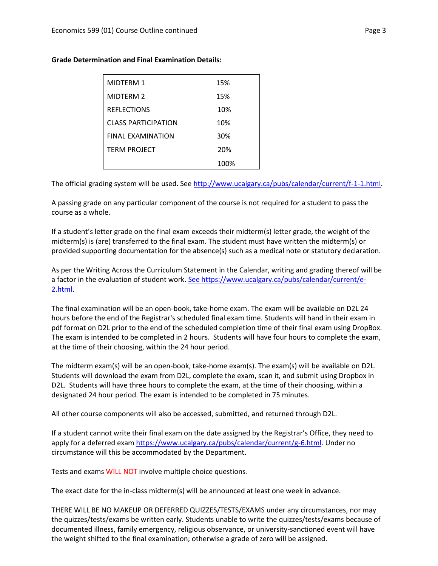| <b>MIDTERM 1</b>           | 15%  |
|----------------------------|------|
| MIDTERM 2                  | 15%  |
| <b>REFLECTIONS</b>         | 10%  |
| <b>CLASS PARTICIPATION</b> | 10%  |
| <b>FINAL EXAMINATION</b>   | 30%  |
| <b>TERM PROJECT</b>        | 20%  |
|                            | 100% |

#### **Grade Determination and Final Examination Details:**

The official grading system will be used. Se[e http://www.ucalgary.ca/pubs/calendar/current/f-1-1.html.](http://www.ucalgary.ca/pubs/calendar/current/f-1-1.html)

A passing grade on any particular component of the course is not required for a student to pass the course as a whole.

If a student's letter grade on the final exam exceeds their midterm(s) letter grade, the weight of the midterm(s) is (are) transferred to the final exam. The student must have written the midterm(s) or provided supporting documentation for the absence(s) such as a medical note or statutory declaration.

As per the Writing Across the Curriculum Statement in the Calendar, writing and grading thereof will be a factor in the evaluation of student work. [See https://www.ucalgary.ca/pubs/calendar/current/e-](https://www.ucalgary.ca/pubs/calendar/current/e-2.html)[2.html.](https://www.ucalgary.ca/pubs/calendar/current/e-2.html)

The final examination will be an open-book, take-home exam. The exam will be available on D2L 24 hours before the end of the Registrar's scheduled final exam time. Students will hand in their exam in pdf format on D2L prior to the end of the scheduled completion time of their final exam using DropBox. The exam is intended to be completed in 2 hours. Students will have four hours to complete the exam, at the time of their choosing, within the 24 hour period.

The midterm exam(s) will be an open-book, take-home exam(s). The exam(s) will be available on D2L. Students will download the exam from D2L, complete the exam, scan it, and submit using Dropbox in D2L. Students will have three hours to complete the exam, at the time of their choosing, within a designated 24 hour period. The exam is intended to be completed in 75 minutes.

All other course components will also be accessed, submitted, and returned through D2L.

If a student cannot write their final exam on the date assigned by the Registrar's Office, they need to apply for a deferred exam [https://www.ucalgary.ca/pubs/calendar/current/g-6.html.](https://www.ucalgary.ca/pubs/calendar/current/g-6.html) Under no circumstance will this be accommodated by the Department.

Tests and exams WILL NOT involve multiple choice questions.

The exact date for the in-class midterm(s) will be announced at least one week in advance.

THERE WILL BE NO MAKEUP OR DEFERRED QUIZZES/TESTS/EXAMS under any circumstances, nor may the quizzes/tests/exams be written early. Students unable to write the quizzes/tests/exams because of documented illness, family emergency, religious observance, or university-sanctioned event will have the weight shifted to the final examination; otherwise a grade of zero will be assigned.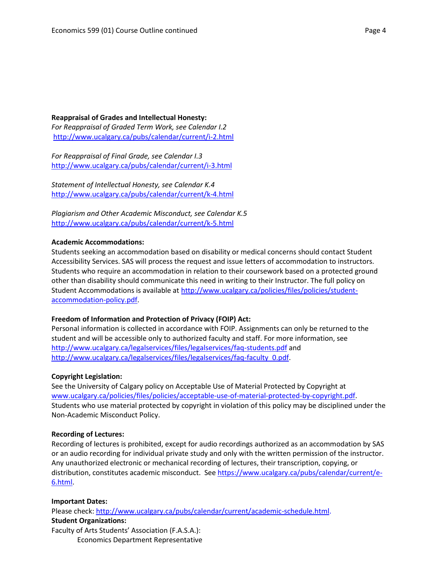#### **Reappraisal of Grades and Intellectual Honesty:** *For Reappraisal of Graded Term Work, see Calendar I.2* <http://www.ucalgary.ca/pubs/calendar/current/i-2.html>

*For Reappraisal of Final Grade, see Calendar I.3* <http://www.ucalgary.ca/pubs/calendar/current/i-3.html>

*Statement of Intellectual Honesty, see Calendar K.4* <http://www.ucalgary.ca/pubs/calendar/current/k-4.html>

*Plagiarism and Other Academic Misconduct, see Calendar K.5* <http://www.ucalgary.ca/pubs/calendar/current/k-5.html>

#### **Academic Accommodations:**

Students seeking an accommodation based on disability or medical concerns should contact Student Accessibility Services. SAS will process the request and issue letters of accommodation to instructors. Students who require an accommodation in relation to their coursework based on a protected ground other than disability should communicate this need in writing to their Instructor. The full policy on Student Accommodations is available at [http://www.ucalgary.ca/policies/files/policies/student](http://www.ucalgary.ca/policies/files/policies/student-accommodation-policy.pdf)[accommodation-policy.pdf.](http://www.ucalgary.ca/policies/files/policies/student-accommodation-policy.pdf)

#### **Freedom of Information and Protection of Privacy (FOIP) Act:**

Personal information is collected in accordance with FOIP. Assignments can only be returned to the student and will be accessible only to authorized faculty and staff. For more information, see <http://www.ucalgary.ca/legalservices/files/legalservices/faq-students.pdf> and [http://www.ucalgary.ca/legalservices/files/legalservices/faq-faculty\\_0.pdf.](http://www.ucalgary.ca/legalservices/files/legalservices/faq-faculty_0.pdf)

#### **Copyright Legislation:**

See the University of Calgary policy on Acceptable Use of Material Protected by Copyright at [www.ucalgary.ca/policies/files/policies/acceptable-use-of-material-protected-by-copyright.pdf.](http://www.ucalgary.ca/policies/files/policies/acceptable-use-of-material-protected-by-copyright.pdf) Students who use material protected by copyright in violation of this policy may be disciplined under the Non-Academic Misconduct Policy.

#### **Recording of Lectures:**

Recording of lectures is prohibited, except for audio recordings authorized as an accommodation by SAS or an audio recording for individual private study and only with the written permission of the instructor. Any unauthorized electronic or mechanical recording of lectures, their transcription, copying, or distribution, constitutes academic misconduct. See [https://www.ucalgary.ca/pubs/calendar/current/e-](https://www.ucalgary.ca/pubs/calendar/current/e-6.html)[6.html.](https://www.ucalgary.ca/pubs/calendar/current/e-6.html)

#### **Important Dates:**

Please check: [http://www.ucalgary.ca/pubs/calendar/current/academic-schedule.html.](http://www.ucalgary.ca/pubs/calendar/current/academic-schedule.html) **Student Organizations:** Faculty of Arts Students' Association (F.A.S.A.):

Economics Department Representative